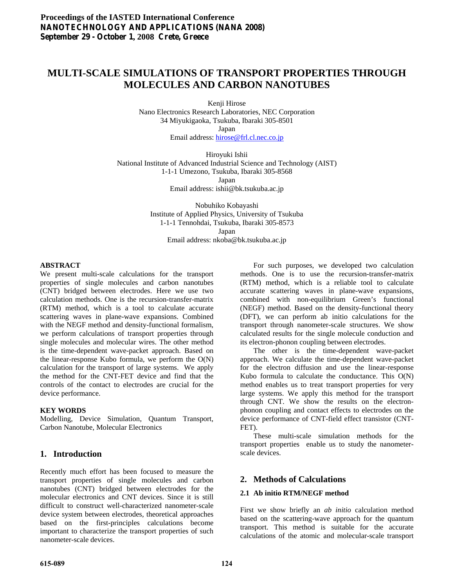# **MULTI-SCALE SIMULATIONS OF TRANSPORT PROPERTIES THROUGH MOLECULES AND CARBON NANOTUBES**

Kenji Hirose

Nano Electronics Research Laboratories, NEC Corporation 34 Miyukigaoka, Tsukuba, Ibaraki 305-8501 Japan

Email address: [hirose@frl.cl.nec.co.jp](mailto:hirose@frl.cl.nec.co.jp)

Hiroyuki Ishii National Institute of Advanced Industrial Science and Technology (AIST) 1-1-1 Umezono, Tsukuba, Ibaraki 305-8568 Japan Email address: ishii@bk.tsukuba.ac.jp

> Nobuhiko Kobayashi Institute of Applied Physics, University of Tsukuba 1-1-1 Tennohdai, Tsukuba, Ibaraki 305-8573 Japan

Email address: nkoba@bk.tsukuba.ac.jp

#### **ABSTRACT**

We present multi-scale calculations for the transport properties of single molecules and carbon nanotubes (CNT) bridged between electrodes. Here we use two calculation methods. One is the recursion-transfer-matrix (RTM) method, which is a tool to calculate accurate scattering waves in plane-wave expansions. Combined with the NEGF method and density-functional formalism, we perform calculations of transport properties through single molecules and molecular wires. The other method is the time-dependent wave-packet approach. Based on the linear-response Kubo formula, we perform the O(N) calculation for the transport of large systems. We apply the method for the CNT-FET device and find that the controls of the contact to electrodes are crucial for the device performance.

#### **KEY WORDS**

Modelling, Device Simulation, Quantum Transport, Carbon Nanotube, Molecular Electronics

# **1. Introduction**

Recently much effort has been focused to measure the transport properties of single molecules and carbon nanotubes (CNT) bridged between electrodes for the molecular electronics and CNT devices. Since it is still difficult to construct well-characterized nanometer-scale device system between electrodes, theoretical approaches based on the first-principles calculations become important to characterize the transport properties of such nanometer-scale devices.

 For such purposes, we developed two calculation methods. One is to use the recursion-transfer-matrix (RTM) method, which is a reliable tool to calculate accurate scattering waves in plane-wave expansions, combined with non-equilibrium Green's functional (NEGF) method. Based on the density-functional theory (DFT), we can perform ab initio calculations for the transport through nanometer-scale structures. We show calculated results for the single molecule conduction and its electron-phonon coupling between electrodes.

 The other is the time-dependent wave-packet approach. We calculate the time-dependent wave-packet for the electron diffusion and use the linear-response Kubo formula to calculate the conductance. This O(N) method enables us to treat transport properties for very large systems. We apply this method for the transport through CNT. We show the results on the electronphonon coupling and contact effects to electrodes on the device performance of CNT-field effect transistor (CNT-FET).

 These multi-scale simulation methods for the transport properties enable us to study the nanometerscale devices.

# **2. Methods of Calculations**

### **2.1 Ab initio RTM/NEGF method**

First we show briefly an *ab initio* calculation method based on the scattering-wave approach for the quantum transport. This method is suitable for the accurate calculations of the atomic and molecular-scale transport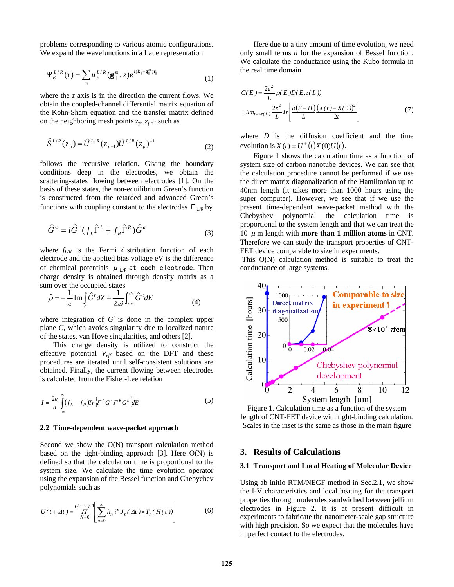problems corresponding to various atomic configurations. We expand the wavefunctions in a Laue representation

$$
\Psi_E^{L/R}(\mathbf{r}) = \sum_m u_E^{L/R} (\mathbf{g}_{\parallel}^m, z) e^{i(\mathbf{k}_{\parallel} + \mathbf{g}_{\parallel}^m) \mathbf{r}_{\parallel}}
$$
 the real time domain (1)

where the *z* axis is in the direction the current flows. We obtain the coupled-channel differential matrix equation of the Kohn-Sham equation and the transfer matrix defined on the neighboring mesh points  $z_p$ ,  $z_{p+1}$  such as

$$
\hat{S}^{L/R}(z_p) = \hat{U}^{L/R}(z_{p+1}) \hat{U}^{L/R}(z_p)^{-1}
$$
 (2)

follows the recursive relation. Giving the boundary conditions deep in the electrodes, we obtain the scattering-states flowing between electrodes [1]. On the basis of these states, the non-equilibrium Green's function is constructed from the retarded and advanced Green's functions with coupling constant to the electrodes  $\Gamma_{LR}$  by

$$
\hat{G}^{\langle} = i\hat{G}^r (f_L \hat{\Gamma}^L + f_R \hat{\Gamma}^R) \hat{G}^a
$$
 (3)

where  $f_{LR}$  is the Fermi distribution function of each electrode and the applied bias voltage eV is the difference of chemical potentials  $\mu_{L/R}$  at each electrode. Then charge density is obtained through density matrix as a sum over the occupied states

$$
\hat{\rho} = -\frac{1}{\pi} \operatorname{Im} \int_{C} \hat{G}^{r} dZ + \frac{1}{2\pi i} \int_{\mu_{R}}^{\mu_{L}} \hat{G}^{<} dE
$$
\n(4)

where integration of  $G<sup>r</sup>$  is done in the complex upper plane *C*, which avoids singularity due to localized nature of the states, van Hove singularities, and others [2].

 This charge density is utilized to construct the effective potential  $V_{\text{eff}}$  based on the DFT and these procedures are iterated until self-consistent solutions are obtained. Finally, the current flowing between electrodes is calculated from the Fisher-Lee relation

$$
I = \frac{2e}{h} \int_{-\infty}^{\infty} (f_L - f_R) Tr \left\{ \Gamma^L G^T \Gamma^R G^a \right\} dE \tag{5}
$$

#### **2.2 Time-dependent wave-packet approach**

Second we show the O(N) transport calculation method based on the tight-binding approach  $[3]$ . Here  $O(N)$  is defined so that the calculation time is proportional to the system size. We calculate the time evolution operator using the expansion of the Bessel function and Chebychev polynomials such as

$$
U(t + \Delta t) = \prod_{N=0}^{(t/\Delta t) - 1} \left[ \sum_{n=0}^{\infty} h_n i^n J_n(\Delta t) \times T_n(H(t)) \right]
$$
(6)

 Here due to a tiny amount of time evolution, we need only small terms *n* for the expansion of Bessel function. We calculate the conductance using the Kubo formula in

$$
G(E) = \frac{2e^2}{L} \rho(E) D(E, \tau(L))
$$
  
= 
$$
\lim_{t \to \tau(L)} \frac{2e^2}{L} Tr \left[ \frac{\delta(E-H) (X(t) - X(0))^2}{L} \right]
$$
(7)

where  $D$  is the diffusion coefficient and the time evolution is  $X(t) = U^+(t)X(0)U(t)$ .

 Figure 1 shows the calculation time as a function of system size of carbon nanotube devices. We can see that the calculation procedure cannot be performed if we use the direct matrix diagonalization of the Hamiltonian up to 40nm length (it takes more than 1000 hours using the super computer). However, we see that if we use the present time-dependent wave-packet method with the Chebyshev polynomial the calculation time is proportional to the system length and that we can treat the 10  $\mu$  m length with **more than 1 million atoms** in CNT. Therefore we can study the transport properties of CNT-FET device comparable to size in experiments.

 This O(N) calculation method is suitable to treat the conductance of large systems.



Figure 1. Calculation time as a function of the system length of CNT-FET device with tight-binding calculation. Scales in the inset is the same as those in the main figure

#### **3. Results of Calculations**

#### **3.1 Transport and Local Heating of Molecular Device**

Using ab initio RTM/NEGF method in Sec.2.1, we show the I-V characteristics and local heating for the transport properties through molecules sandwiched between jellium electrodes in Figure 2. It is at present difficult in experiments to fabricate the nanometer-scale gap structure with high precision. So we expect that the molecules have imperfect contact to the electrodes.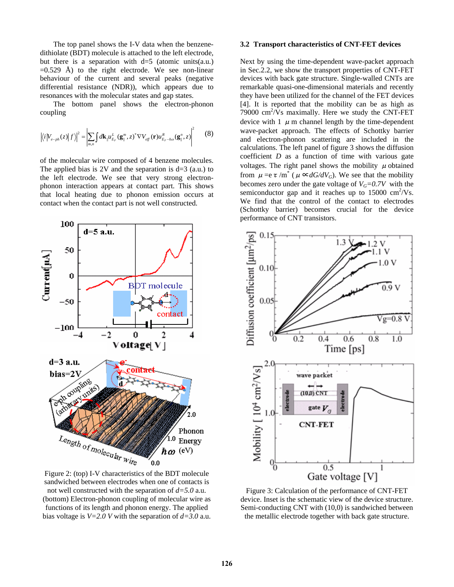The top panel shows the I-V data when the benzenedithiolate (BDT) molecule is attached to the left electrode, but there is a separation with  $d=5$  (atomic units(a.u.)  $=0.529$  Å) to the right electrode. We see non-linear behaviour of the current and several peaks (negative differential resistance (NDR)), which appears due to resonances with the molecular states and gap states.

 The bottom panel shows the electron-phonon coupling

$$
\left| \langle i | V_{e-ph}(z) | f \rangle \right|^2 = \left| \sum_{m,n} \int d\mathbf{k}_{\parallel} u_{E_F}^L (\mathbf{g}_{\parallel}^m, z)^* \nabla V_{\text{eff}} (\mathbf{r}) u_{E_F-h\omega}^R (\mathbf{g}_{\parallel}^n, z) \right|^2 \tag{8}
$$

of the molecular wire composed of 4 benzene molecules. The applied bias is 2V and the separation is  $d=3$  (a.u.) to the left electrode. We see that very strong electronphonon interaction appears at contact part. This shows that local heating due to phonon emission occurs at contact when the contact part is not well constructed.



Figure 2: (top) I-V characteristics of the BDT molecule sandwiched between electrodes when one of contacts is not well constructed with the separation of *d=5.0* a.u. (bottom) Electron-phonon coupling of molecular wire as functions of its length and phonon energy. The applied bias voltage is *V=2.0 V* with the separation of *d=3.0* a.u.

#### **3.2 Transport characteristics of CNT-FET devices**

Next by using the time-dependent wave-packet approach in Sec.2.2, we show the transport properties of CNT-FET devices with back gate structure. Single-walled CNTs are remarkable quasi-one-dimensional materials and recently they have been utilized for the channel of the FET devices [4]. It is reported that the mobility can be as high as 79000  $\text{cm}^2/\text{V}\text{s}$  maximally. Here we study the CNT-FET device with 1  $\mu$  m channel length by the time-dependent wave-packet approach. The effects of Schottky barrier and electron-phonon scattering are included in the calculations. The left panel of figure 3 shows the diffusion coefficient *D* as a function of time with various gate voltages. The right panel shows the mobility  $\mu$  obtained from  $\mu = e \tau / m^*$  ( $\mu \propto dG/dV_G$ ). We see that the mobility becomes zero under the gate voltage of  $V<sub>G</sub>=0.7V$  with the semiconductor gap and it reaches up to  $15000 \text{ cm}^2/\text{Vs}$ . We find that the control of the contact to electrodes (Schottky barrier) becomes crucial for the device performance of CNT transistors.



Figure 3: Calculation of the performance of CNT-FET device. Inset is the schematic view of the device structure. Semi-conducting CNT with (10,0) is sandwiched between the metallic electrode together with back gate structure.